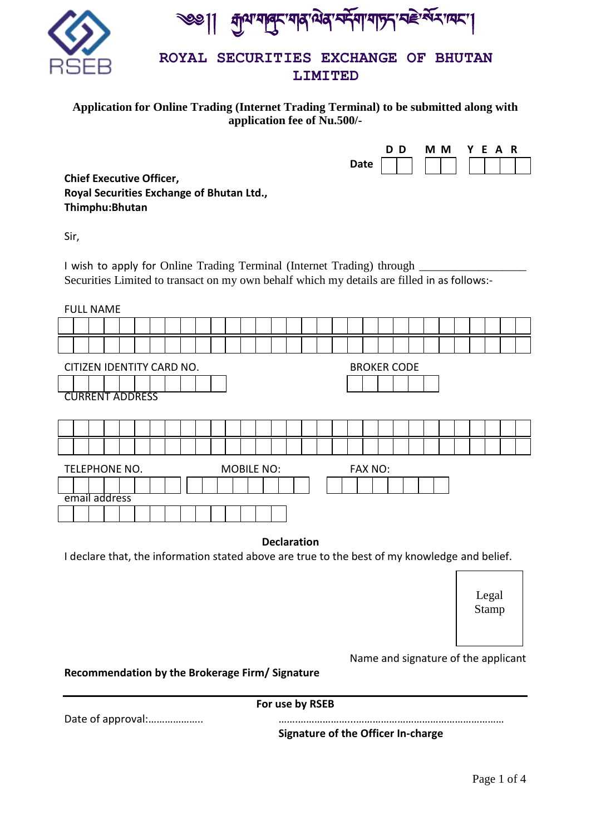

कुथ मातुर मात्र सेत्र र्मिमा मार्ज़न स्वे र्सेन पार ।

# **Application for Online Trading (Internet Trading Terminal) to be submitted along with application fee of Nu.500/-**

|             | D<br>Ð | М<br>M. | $\mathbf{v}$ | -F. | R<br>A |  |
|-------------|--------|---------|--------------|-----|--------|--|
| <b>Date</b> |        |         |              |     |        |  |

**Chief Executive Officer, Royal Securities Exchange of Bhutan Ltd., Thimphu:Bhutan**

Sir,

I wish to apply for Online Trading Terminal (Internet Trading) through \_\_\_\_\_\_\_\_\_\_ Securities Limited to transact on my own behalf which my details are filled in as follows:-

| <b>FULL NAME</b>                                     |                                                 |  |  |  |  |  |  |  |  |  |  |       |  |  |  |  |  |  |  |  |  |
|------------------------------------------------------|-------------------------------------------------|--|--|--|--|--|--|--|--|--|--|-------|--|--|--|--|--|--|--|--|--|
|                                                      |                                                 |  |  |  |  |  |  |  |  |  |  |       |  |  |  |  |  |  |  |  |  |
|                                                      |                                                 |  |  |  |  |  |  |  |  |  |  |       |  |  |  |  |  |  |  |  |  |
|                                                      | <b>BROKER CODE</b><br>CITIZEN IDENTITY CARD NO. |  |  |  |  |  |  |  |  |  |  |       |  |  |  |  |  |  |  |  |  |
|                                                      |                                                 |  |  |  |  |  |  |  |  |  |  |       |  |  |  |  |  |  |  |  |  |
| <b>CURRENT ADDRESS</b>                               |                                                 |  |  |  |  |  |  |  |  |  |  |       |  |  |  |  |  |  |  |  |  |
|                                                      |                                                 |  |  |  |  |  |  |  |  |  |  |       |  |  |  |  |  |  |  |  |  |
|                                                      |                                                 |  |  |  |  |  |  |  |  |  |  |       |  |  |  |  |  |  |  |  |  |
|                                                      |                                                 |  |  |  |  |  |  |  |  |  |  |       |  |  |  |  |  |  |  |  |  |
| TELEPHONE NO.<br><b>MOBILE NO:</b><br><b>FAX NO:</b> |                                                 |  |  |  |  |  |  |  |  |  |  |       |  |  |  |  |  |  |  |  |  |
|                                                      |                                                 |  |  |  |  |  |  |  |  |  |  |       |  |  |  |  |  |  |  |  |  |
| email address                                        |                                                 |  |  |  |  |  |  |  |  |  |  |       |  |  |  |  |  |  |  |  |  |
|                                                      |                                                 |  |  |  |  |  |  |  |  |  |  |       |  |  |  |  |  |  |  |  |  |
|                                                      |                                                 |  |  |  |  |  |  |  |  |  |  | _ _ _ |  |  |  |  |  |  |  |  |  |

# **Declaration**

I declare that, the information stated above are true to the best of my knowledge and belief.

Legal Stamp

Name and signature of the applicant

**Recommendation by the Brokerage Firm/ Signature**

**For use by RSEB**

Date of approval:……………….. …….………………...………………………………………………

**Signature of the Officer In-charge**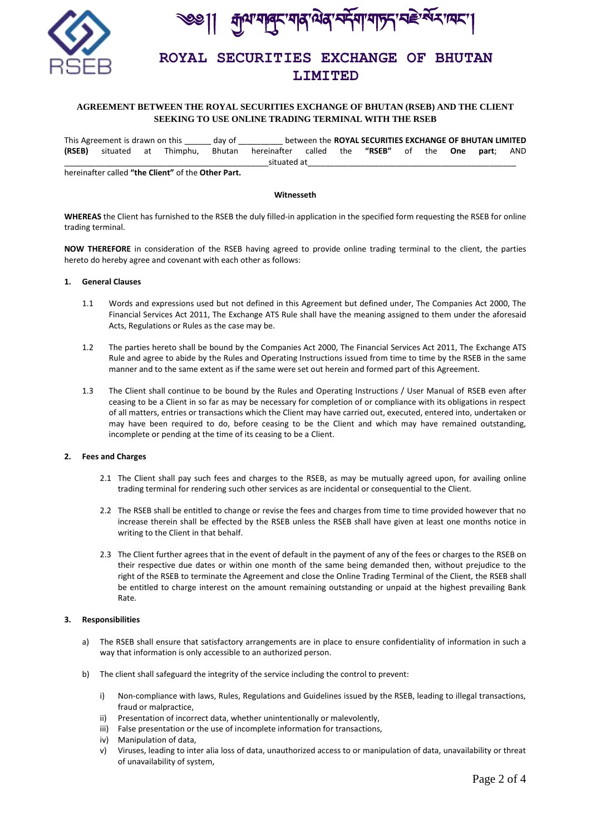



## **AGREEMENT BETWEEN THE ROYAL SECURITIES EXCHANGE OF BHUTAN (RSEB) AND THE CLIENT SEEKING TO USE ONLINE TRADING TERMINAL WITH THE RSEB**

|        | This Agreement is drawn on this |  | dav of |                                                           |  | between the ROYAL SECURITIES EXCHANGE OF BHUTAN LIMITED |  |                              |  |
|--------|---------------------------------|--|--------|-----------------------------------------------------------|--|---------------------------------------------------------|--|------------------------------|--|
| (RSEB) |                                 |  |        | situated at Thimphu, Bhutan hereinafter called the "RSEB" |  |                                                         |  | of the <b>One part</b> : AND |  |
|        |                                 |  |        | situated at                                               |  |                                                         |  |                              |  |

hereinafter called **"the Client"** of the **Other Part.**

#### **Witnesseth**

**WHEREAS** the Client has furnished to the RSEB the duly filled-in application in the specified form requesting the RSEB for online trading terminal.

**NOW THEREFORE** in consideration of the RSEB having agreed to provide online trading terminal to the client, the parties hereto do hereby agree and covenant with each other as follows:

### **1. General Clauses**

- 1.1 Words and expressions used but not defined in this Agreement but defined under, The Companies Act 2000, The Financial Services Act 2011, The Exchange ATS Rule shall have the meaning assigned to them under the aforesaid Acts, Regulations or Rules as the case may be.
- 1.2 The parties hereto shall be bound by the Companies Act 2000, The Financial Services Act 2011, The Exchange ATS Rule and agree to abide by the Rules and Operating Instructions issued from time to time by the RSEB in the same manner and to the same extent as if the same were set out herein and formed part of this Agreement.
- 1.3 The Client shall continue to be bound by the Rules and Operating Instructions / User Manual of RSEB even after ceasing to be a Client in so far as may be necessary for completion of or compliance with its obligations in respect of all matters, entries or transactions which the Client may have carried out, executed, entered into, undertaken or may have been required to do, before ceasing to be the Client and which may have remained outstanding, incomplete or pending at the time of its ceasing to be a Client.

### **2. Fees and Charges**

- 2.1 The Client shall pay such fees and charges to the RSEB, as may be mutually agreed upon, for availing online trading terminal for rendering such other services as are incidental or consequential to the Client.
- 2.2 The RSEB shall be entitled to change or revise the fees and charges from time to time provided however that no increase therein shall be effected by the RSEB unless the RSEB shall have given at least one months notice in writing to the Client in that behalf.
- 2.3 The Client further agrees that in the event of default in the payment of any of the fees or charges to the RSEB on their respective due dates or within one month of the same being demanded then, without prejudice to the right of the RSEB to terminate the Agreement and close the Online Trading Terminal of the Client, the RSEB shall be entitled to charge interest on the amount remaining outstanding or unpaid at the highest prevailing Bank Rate.

### **3. Responsibilities**

- a) The RSEB shall ensure that satisfactory arrangements are in place to ensure confidentiality of information in such a way that information is only accessible to an authorized person.
- b) The client shall safeguard the integrity of the service including the control to prevent:
	- i) Non-compliance with laws, Rules, Regulations and Guidelines issued by the RSEB, leading to illegal transactions, fraud or malpractice,
	- ii) Presentation of incorrect data, whether unintentionally or malevolently,
	- iii) False presentation or the use of incomplete information for transactions,
	- iv) Manipulation of data,
	- v) Viruses, leading to inter alia loss of data, unauthorized access to or manipulation of data, unavailability or threat of unavailability of system,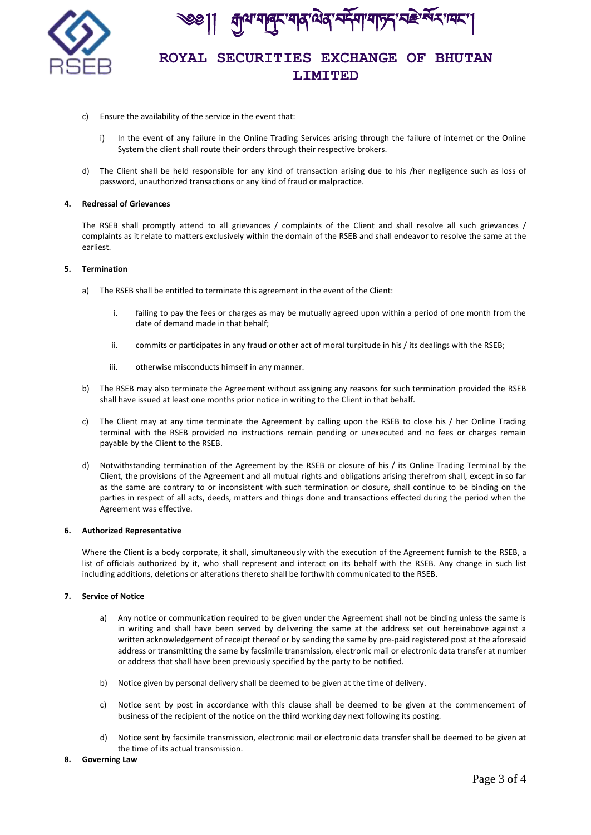

'यावर'यादालेदार्मिया'यान्ना'यहेर्ग्स्य प्राप्त

- c) Ensure the availability of the service in the event that:
	- i) In the event of any failure in the Online Trading Services arising through the failure of internet or the Online System the client shall route their orders through their respective brokers.
- d) The Client shall be held responsible for any kind of transaction arising due to his /her negligence such as loss of password, unauthorized transactions or any kind of fraud or malpractice.

#### **4. Redressal of Grievances**

The RSEB shall promptly attend to all grievances / complaints of the Client and shall resolve all such grievances / complaints as it relate to matters exclusively within the domain of the RSEB and shall endeavor to resolve the same at the earliest.

### **5. Termination**

- a) The RSEB shall be entitled to terminate this agreement in the event of the Client:
	- i. failing to pay the fees or charges as may be mutually agreed upon within a period of one month from the date of demand made in that behalf;
	- ii. commits or participates in any fraud or other act of moral turpitude in his / its dealings with the RSEB;
	- iii. otherwise misconducts himself in any manner.
- b) The RSEB may also terminate the Agreement without assigning any reasons for such termination provided the RSEB shall have issued at least one months prior notice in writing to the Client in that behalf.
- c) The Client may at any time terminate the Agreement by calling upon the RSEB to close his / her Online Trading terminal with the RSEB provided no instructions remain pending or unexecuted and no fees or charges remain payable by the Client to the RSEB.
- d) Notwithstanding termination of the Agreement by the RSEB or closure of his / its Online Trading Terminal by the Client, the provisions of the Agreement and all mutual rights and obligations arising therefrom shall, except in so far as the same are contrary to or inconsistent with such termination or closure, shall continue to be binding on the parties in respect of all acts, deeds, matters and things done and transactions effected during the period when the Agreement was effective.

#### **6. Authorized Representative**

Where the Client is a body corporate, it shall, simultaneously with the execution of the Agreement furnish to the RSEB, a list of officials authorized by it, who shall represent and interact on its behalf with the RSEB. Any change in such list including additions, deletions or alterations thereto shall be forthwith communicated to the RSEB.

### **7. Service of Notice**

- a) Any notice or communication required to be given under the Agreement shall not be binding unless the same is in writing and shall have been served by delivering the same at the address set out hereinabove against a written acknowledgement of receipt thereof or by sending the same by pre-paid registered post at the aforesaid address or transmitting the same by facsimile transmission, electronic mail or electronic data transfer at number or address that shall have been previously specified by the party to be notified.
- b) Notice given by personal delivery shall be deemed to be given at the time of delivery.
- c) Notice sent by post in accordance with this clause shall be deemed to be given at the commencement of business of the recipient of the notice on the third working day next following its posting.
- d) Notice sent by facsimile transmission, electronic mail or electronic data transfer shall be deemed to be given at the time of its actual transmission.
- **8. Governing Law**